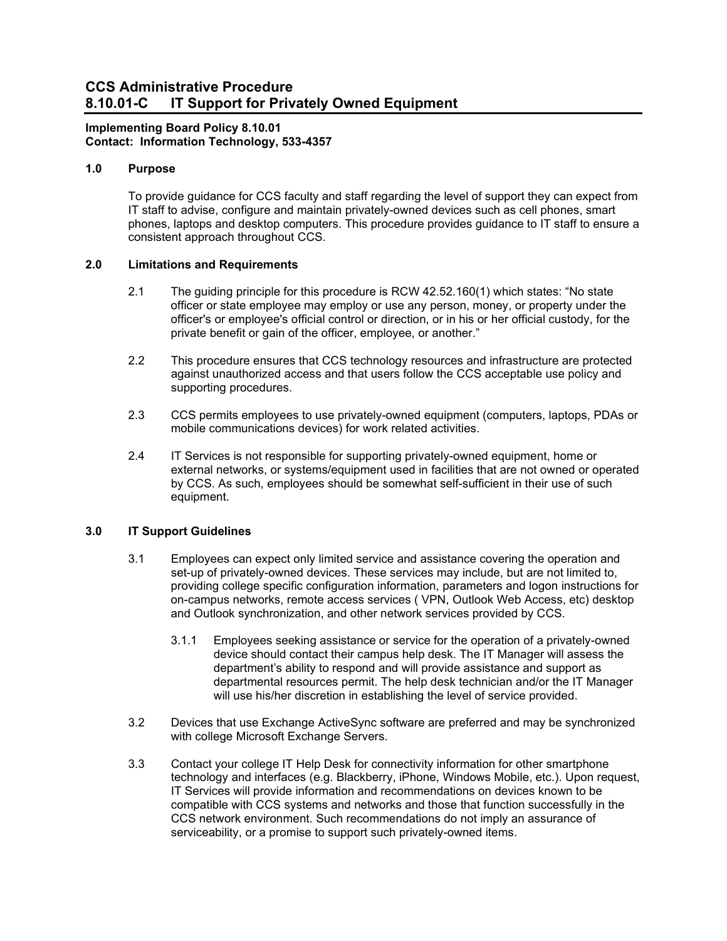# **CCS Administrative Procedure 8.10.01-C IT Support for Privately Owned Equipment**

## **Implementing Board Policy 8.10.01 Contact: Information Technology, 533-4357**

#### **1.0 Purpose**

To provide guidance for CCS faculty and staff regarding the level of support they can expect from IT staff to advise, configure and maintain privately-owned devices such as cell phones, smart phones, laptops and desktop computers. This procedure provides guidance to IT staff to ensure a consistent approach throughout CCS.

### **2.0 Limitations and Requirements**

- 2.1 The guiding principle for this procedure is RCW 42.52.160(1) which states: "No state officer or state employee may employ or use any person, money, or property under the officer's or employee's official control or direction, or in his or her official custody, for the private benefit or gain of the officer, employee, or another."
- 2.2 This procedure ensures that CCS technology resources and infrastructure are protected against unauthorized access and that users follow the CCS acceptable use policy and supporting procedures.
- 2.3 CCS permits employees to use privately-owned equipment (computers, laptops, PDAs or mobile communications devices) for work related activities.
- 2.4 IT Services is not responsible for supporting privately-owned equipment, home or external networks, or systems/equipment used in facilities that are not owned or operated by CCS. As such, employees should be somewhat self-sufficient in their use of such equipment.

## **3.0 IT Support Guidelines**

- 3.1 Employees can expect only limited service and assistance covering the operation and set-up of privately-owned devices. These services may include, but are not limited to, providing college specific configuration information, parameters and logon instructions for on-campus networks, remote access services ( VPN, Outlook Web Access, etc) desktop and Outlook synchronization, and other network services provided by CCS.
	- 3.1.1 Employees seeking assistance or service for the operation of a privately-owned device should contact their campus help desk. The IT Manager will assess the department's ability to respond and will provide assistance and support as departmental resources permit. The help desk technician and/or the IT Manager will use his/her discretion in establishing the level of service provided.
- 3.2 Devices that use Exchange ActiveSync software are preferred and may be synchronized with college Microsoft Exchange Servers.
- 3.3 Contact your college IT Help Desk for connectivity information for other smartphone technology and interfaces (e.g. Blackberry, iPhone, Windows Mobile, etc.). Upon request, IT Services will provide information and recommendations on devices known to be compatible with CCS systems and networks and those that function successfully in the CCS network environment. Such recommendations do not imply an assurance of serviceability, or a promise to support such privately-owned items.